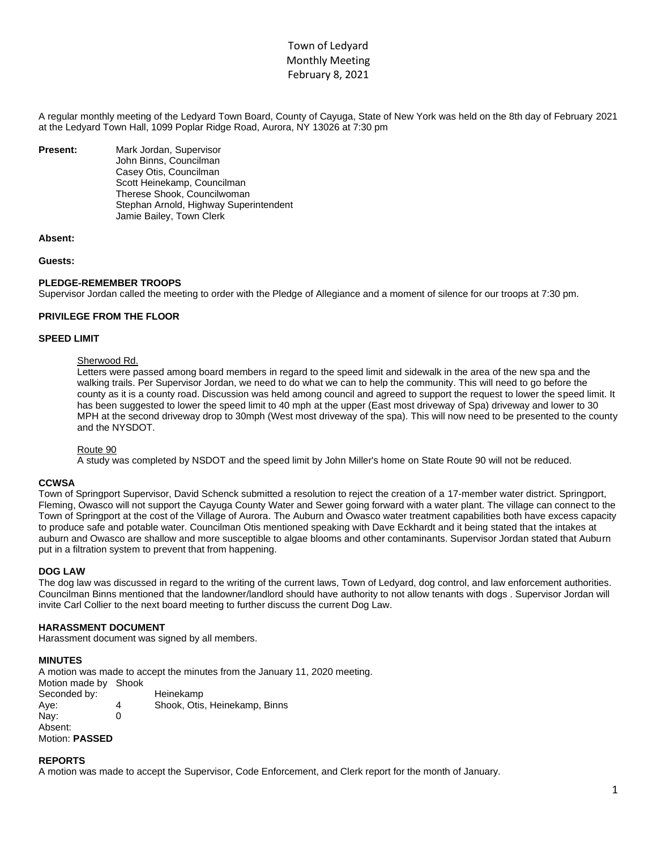# Town of Ledyard Monthly Meeting February 8, 2021

A regular monthly meeting of the Ledyard Town Board, County of Cayuga, State of New York was held on the 8th day of February 2021 at the Ledyard Town Hall, 1099 Poplar Ridge Road, Aurora, NY 13026 at 7:30 pm

**Present:** Mark Jordan, Supervisor John Binns, Councilman Casey Otis, Councilman Scott Heinekamp, Councilman Therese Shook, Councilwoman Stephan Arnold, Highway Superintendent Jamie Bailey, Town Clerk

## **Absent:**

#### **Guests:**

## **PLEDGE-REMEMBER TROOPS**

Supervisor Jordan called the meeting to order with the Pledge of Allegiance and a moment of silence for our troops at 7:30 pm.

#### **PRIVILEGE FROM THE FLOOR**

# **SPEED LIMIT**

#### Sherwood Rd.

Letters were passed among board members in regard to the speed limit and sidewalk in the area of the new spa and the walking trails. Per Supervisor Jordan, we need to do what we can to help the community. This will need to go before the county as it is a county road. Discussion was held among council and agreed to support the request to lower the speed limit. It has been suggested to lower the speed limit to 40 mph at the upper (East most driveway of Spa) driveway and lower to 30 MPH at the second driveway drop to 30mph (West most driveway of the spa). This will now need to be presented to the county and the NYSDOT.

#### Route 90

A study was completed by NSDOT and the speed limit by John Miller's home on State Route 90 will not be reduced.

#### **CCWSA**

Town of Springport Supervisor, David Schenck submitted a resolution to reject the creation of a 17-member water district. Springport, Fleming, Owasco will not support the Cayuga County Water and Sewer going forward with a water plant. The village can connect to the Town of Springport at the cost of the Village of Aurora. The Auburn and Owasco water treatment capabilities both have excess capacity to produce safe and potable water. Councilman Otis mentioned speaking with Dave Eckhardt and it being stated that the intakes at auburn and Owasco are shallow and more susceptible to algae blooms and other contaminants. Supervisor Jordan stated that Auburn put in a filtration system to prevent that from happening.

#### **DOG LAW**

The dog law was discussed in regard to the writing of the current laws, Town of Ledyard, dog control, and law enforcement authorities. Councilman Binns mentioned that the landowner/landlord should have authority to not allow tenants with dogs . Supervisor Jordan will invite Carl Collier to the next board meeting to further discuss the current Dog Law.

#### **HARASSMENT DOCUMENT**

Harassment document was signed by all members.

#### **MINUTES**

A motion was made to accept the minutes from the January 11, 2020 meeting. Motion made by Shook Seconded by: Heinekamp Aye: 4 Shook, Otis, Heinekamp, Binns Nay: 0 Absent: Motion: **PASSED**

#### **REPORTS**

A motion was made to accept the Supervisor, Code Enforcement, and Clerk report for the month of January.